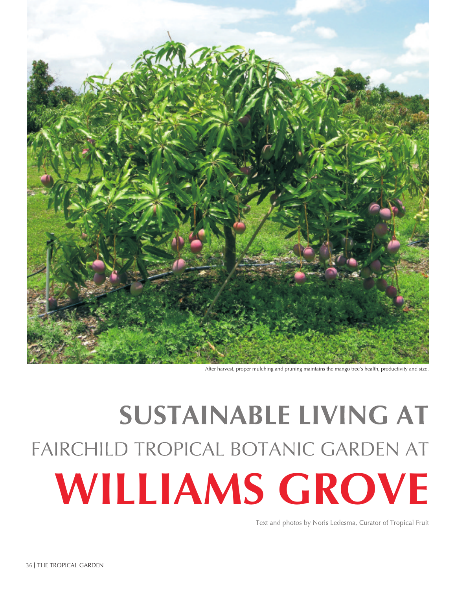

After harvest, proper mulching and pruning maintains the mango tree's health, productivity and size.

## **SUSTAINABLE LIVING AT** FAIRCHILD TROPICAL BOTANIC GARDEN AT **WILLIAMS GROVE**

Text and photos by Noris Ledesma, Curator of Tropical Fruit